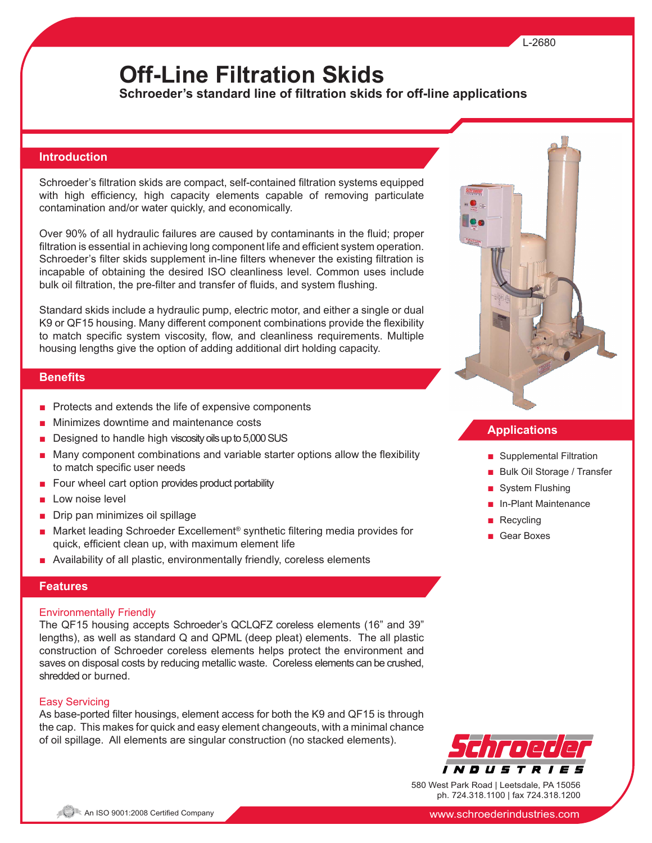# **Off-Line Filtration Skids**

**Schroeder's standard line of filtration skids for off-line applications**

### **Introduction**

Schroeder's filtration skids are compact, self-contained filtration systems equipped with high efficiency, high capacity elements capable of removing particulate contamination and/or water quickly, and economically.

Over 90% of all hydraulic failures are caused by contaminants in the fluid; proper filtration is essential in achieving long component life and efficient system operation. Schroeder's filter skids supplement in-line filters whenever the existing filtration is incapable of obtaining the desired ISO cleanliness level. Common uses include bulk oil filtration, the pre-filter and transfer of fluids, and system flushing.

Standard skids include a hydraulic pump, electric motor, and either a single or dual K9 or QF15 housing. Many different component combinations provide the flexibility to match specific system viscosity, flow, and cleanliness requirements. Multiple housing lengths give the option of adding additional dirt holding capacity.

# **Benefits**

- Protects and extends the life of expensive components
- Minimizes downtime and maintenance costs
- Designed to handle high viscosity oils up to 5,000 SUS
- Many component combinations and variable starter options allow the flexibility to match specific user needs
- Four wheel cart option provides product portability
- Low noise level
- Drip pan minimizes oil spillage
- Market leading Schroeder Excellement<sup>®</sup> synthetic filtering media provides for quick, efficient clean up, with maximum element life
- Availability of all plastic, environmentally friendly, coreless elements

## **Features**

#### Environmentally Friendly

The QF15 housing accepts Schroeder's QCLQFZ coreless elements (16" and 39" lengths), as well as standard Q and QPML (deep pleat) elements. The all plastic construction of Schroeder coreless elements helps protect the environment and saves on disposal costs by reducing metallic waste. Coreless elements can be crushed, shredded or burned.

#### Easy Servicing

As base-ported filter housings, element access for both the K9 and QF15 is through the cap. This makes for quick and easy element changeouts, with a minimal chance of oil spillage. All elements are singular construction (no stacked elements).



## **Applications**

- Supplemental Filtration
- Bulk Oil Storage / Transfer
- System Flushing
- In-Plant Maintenance
- Recycling
- Gear Boxes



580 West Park Road | Leetsdale, PA 15056 ph. 724.318.1100 | fax 724.318.1200